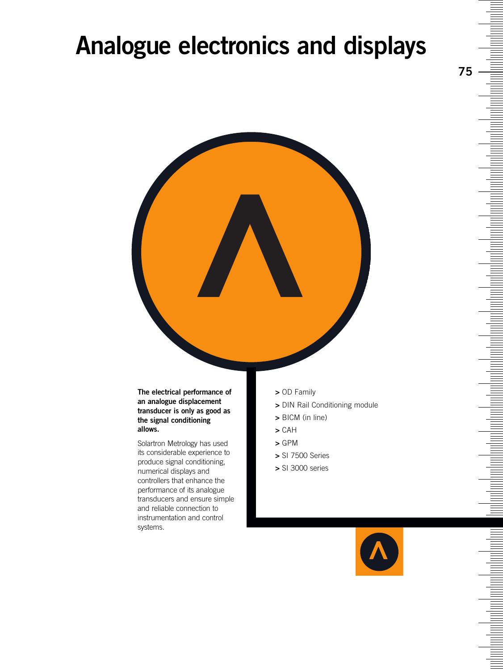### **Analogue electronics and displays**



#### **The electrical performance of an analogue displacement transducer is only as good as the signal conditioning allows.**

Solartron Metrology has used its considerable experience to produce signal conditioning, numerical displays and controllers that enhance the performance of its analogue transducers and ensure simple and reliable connection to instrumentation and control systems.

- **>** OD Family
- **>** DIN Rail Conditioning module
- **>** BICM (in line)
- **>** CAH
- **>** GPM
- **>** SI 7500 Series
- **>** SI 3000 series

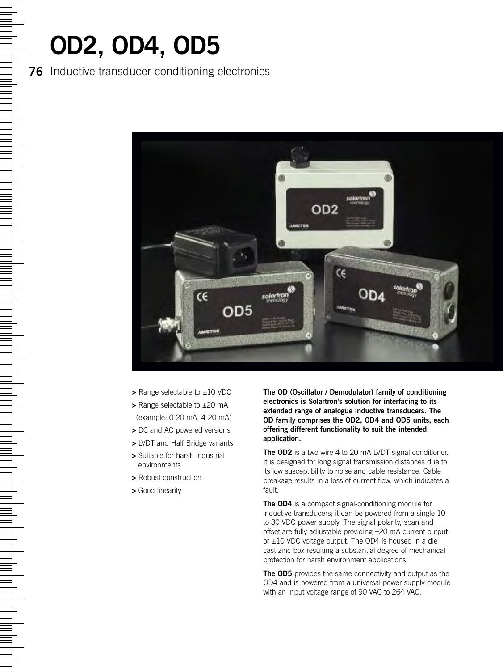# **OD2, OD4, OD5**

<u>Management</u>

#### **76** Inductive transducer conditioning electronics



- **>** Range selectable to ±10 VDC
- **>** Range selectable to ±20 mA (example: 0-20 mA, 4-20 mA)
- **>** DC and AC powered versions
- **>** LVDT and Half Bridge variants
- **>** Suitable for harsh industrial environments
- **>** Robust construction
- **>** Good linearity

**The OD (Oscillator / Demodulator) family of conditioning electronics is Solartron's solution for interfacing to its extended range of analogue inductive transducers. The OD family comprises the OD2, OD4 and OD5 units, each offering different functionality to suit the intended application.**

**The OD2** is a two wire 4 to 20 mA LVDT signal conditioner. It is designed for long signal transmission distances due to its low susceptibility to noise and cable resistance. Cable breakage results in a loss of current flow, which indicates a fault.

**The OD4** is a compact signal-conditioning module for inductive transducers; it can be powered from a single 10 to 30 VDC power supply. The signal polarity, span and offset are fully adjustable providing ±20 mA current output or  $\pm 10$  VDC voltage output. The OD4 is housed in a die cast zinc box resulting a substantial degree of mechanical protection for harsh environment applications.

**The OD5** provides the same connectivity and output as the OD4 and is powered from a universal power supply module with an input voltage range of 90 VAC to 264 VAC.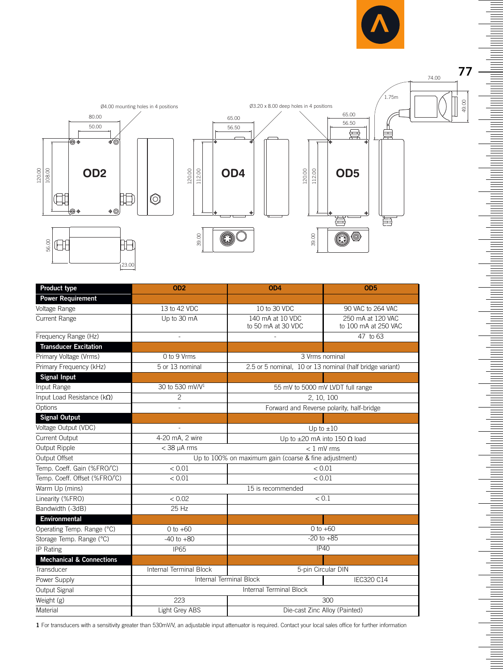

**77**

Ξ

<u>mana ar</u>

Ē  $\equiv$ 

<u>For the set</u>

 $\equiv$ 

**Manufacturer** 

a shekarar 1999) a shekarar 1999) a shekarar 1999) a shekarar 1999) a shekarar 1999) a shekarar 1999. A shekar

<u>m hadian hadi adam bahasa hadi adam d</u>

a da da a shekarar 1999 a shekarar 1999 a tsashi ta 1999 a tsashi ta 1999 a tsashi ta 1999 a tsashi ta 1999 a

49.00

74.00





| Product type                        | OD <sub>2</sub>                                       | OD <sub>4</sub>                                          | OD <sub>5</sub>                           |
|-------------------------------------|-------------------------------------------------------|----------------------------------------------------------|-------------------------------------------|
| <b>Power Requirement</b>            |                                                       |                                                          |                                           |
| Voltage Range                       | 13 to 42 VDC                                          | 10 to 30 VDC                                             | 90 VAC to 264 VAC                         |
| Current Range                       | Up to 30 mA                                           | 140 mA at 10 VDC<br>to 50 mA at 30 VDC                   | 250 mA at 120 VAC<br>to 100 mA at 250 VAC |
| Frequency Range (Hz)                |                                                       |                                                          | 47 to 63                                  |
| <b>Transducer Excitation</b>        |                                                       |                                                          |                                           |
| Primary Voltage (Vrms)              | 0 to 9 Vrms                                           | 3 Vrms nominal                                           |                                           |
| Primary Frequency (kHz)             | 5 or 13 nominal                                       | 2.5 or 5 nominal, 10 or 13 nominal (half bridge variant) |                                           |
| <b>Signal Input</b>                 |                                                       |                                                          |                                           |
| Input Range                         | 30 to 530 mV/V <sup>1</sup>                           | 55 mV to 5000 mV LVDT full range                         |                                           |
| Input Load Resistance ( $k\Omega$ ) | $\overline{c}$                                        | 2, 10, 100                                               |                                           |
| Options                             |                                                       | Forward and Reverse polarity, half-bridge                |                                           |
| <b>Signal Output</b>                |                                                       |                                                          |                                           |
| Voltage Output (VDC)                |                                                       | Up to $\pm 10$                                           |                                           |
| Current Output                      | 4-20 mA, 2 wire                                       | Up to $\pm 20$ mA into 150 $\Omega$ load                 |                                           |
| Output Ripple                       | $<$ 38 $\mu$ A rms                                    | $< 1$ mV rms                                             |                                           |
| Output Offset                       | Up to 100% on maximum gain (coarse & fine adjustment) |                                                          |                                           |
| Temp. Coeff. Gain (%FRO/°C)         | < 0.01                                                | < 0.01                                                   |                                           |
| Temp. Coeff. Offset (%FRO/°C)       | < 0.01                                                | < 0.01                                                   |                                           |
| Warm Up (mins)                      | 15 is recommended                                     |                                                          |                                           |
| Linearity (%FRO)                    | < 0.02                                                | < 0.1                                                    |                                           |
| Bandwidth (-3dB)                    | $25$ Hz                                               |                                                          |                                           |
| Environmental                       |                                                       |                                                          |                                           |
| Operating Temp. Range (°C)          | $0 to +60$                                            | $0$ to $+60$                                             |                                           |
| Storage Temp. Range (°C)            | $-40$ to $+80$                                        | $-20$ to $+85$                                           |                                           |
| IP Rating                           | <b>IP65</b>                                           | IP40                                                     |                                           |
| <b>Mechanical &amp; Connections</b> |                                                       |                                                          |                                           |
| Transducer                          | Internal Terminal Block<br>5-pin Circular DIN         |                                                          |                                           |
| Power Supply                        | Internal Terminal Block<br><b>IEC320 C14</b>          |                                                          |                                           |
| Output Signal                       | <b>Internal Terminal Block</b>                        |                                                          |                                           |
| Weight (g)                          | 223                                                   |                                                          | 300                                       |
| Material                            | Light Grey ABS                                        | Die-cast Zinc Alloy (Painted)                            |                                           |

**1** For transducers with a sensitivity greater than 530mV/V, an adjustable input attenuator is required. Contact your local sales office for further information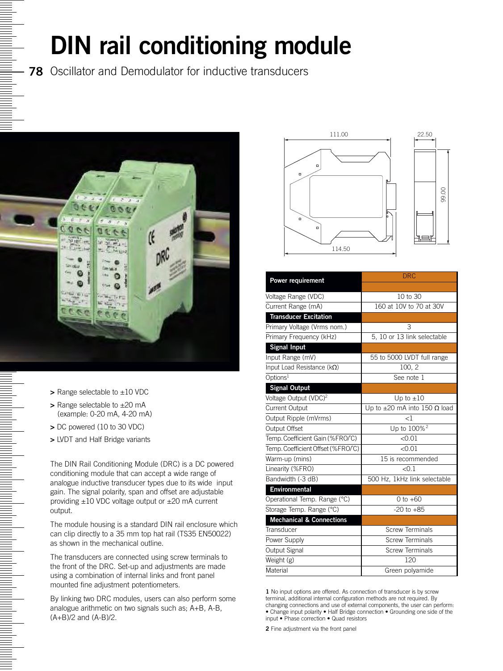### **DIN rail conditioning module**

**78** Oscillator and Demodulator for inductive transducers



- **>** Range selectable to ±10 VDC
- **>** Range selectable to ±20 mA (example: 0-20 mA, 4-20 mA)
- **>** DC powered (10 to 30 VDC)
- **>** LVDT and Half Bridge variants

The DIN Rail Conditioning Module (DRC) is a DC powered conditioning module that can accept a wide range of analogue inductive transducer types due to its wide input gain. The signal polarity, span and offset are adjustable providing ±10 VDC voltage output or ±20 mA current output.

The module housing is a standard DIN rail enclosure which can clip directly to a 35 mm top hat rail (TS35 EN50022) as shown in the mechanical outline.

The transducers are connected using screw terminals to the front of the DRC. Set-up and adjustments are made using a combination of internal links and front panel mounted fine adjustment potentiometers.

By linking two DRC modules, users can also perform some analogue arithmetic on two signals such as; A+B, A-B, (A+B)/2 and (A-B)/2.





| Power requirement                   | <b>DRC</b>                               |
|-------------------------------------|------------------------------------------|
|                                     |                                          |
| Voltage Range (VDC)                 | 10 to 30                                 |
| Current Range (mA)                  | 160 at 10V to 70 at 30V                  |
| <b>Transducer Excitation</b>        |                                          |
| Primary Voltage (Vrms nom.)         | 3                                        |
| Primary Frequency (kHz)             | 5, 10 or 13 link selectable              |
| <b>Signal Input</b>                 |                                          |
| Input Range (mV)                    | 55 to 5000 LVDT full range               |
| Input Load Resistance ( $k\Omega$ ) | 100, 2                                   |
| Options <sup>1</sup>                | See note 1                               |
| <b>Signal Output</b>                |                                          |
| Voltage Output (VDC) <sup>2</sup>   | Up to $\pm 10$                           |
| <b>Current Output</b>               | Up to $\pm 20$ mA into 150 $\Omega$ load |
| Output Ripple (mVrms)               | $\leq$ 1                                 |
| Output Offset                       | Up to 100% <sup>2</sup>                  |
| Temp. Coefficient Gain (%FRO/°C)    | < 0.01                                   |
| Temp. Coefficient Offset (%FRO/°C)  | < 0.01                                   |
| Warm-up (mins)                      | 15 is recommended                        |
| Linearity (%FRO)                    | < 0.1                                    |
| Bandwidth (-3 dB)                   | 500 Hz, 1kHz link selectable             |
| <b>Environmental</b>                |                                          |
| Operational Temp. Range (°C)        | $0 to +60$                               |
| Storage Temp. Range (°C)            | $-20$ to $+85$                           |
| <b>Mechanical &amp; Connections</b> |                                          |
| Transducer                          | <b>Screw Terminals</b>                   |
| Power Supply                        | <b>Screw Terminals</b>                   |
| Output Signal                       | <b>Screw Terminals</b>                   |
| Weight (g)                          | 120                                      |
| Material                            | Green polyamide                          |

**1** No input options are offered. As connection of transducer is by screw terminal, additional internal configuration methods are not required. By changing connections and use of external components, the user can perform: • Change input polarity • Half Bridge connection • Grounding one side of the input • Phase correction • Quad resistors

**2** Fine adjustment via the front panel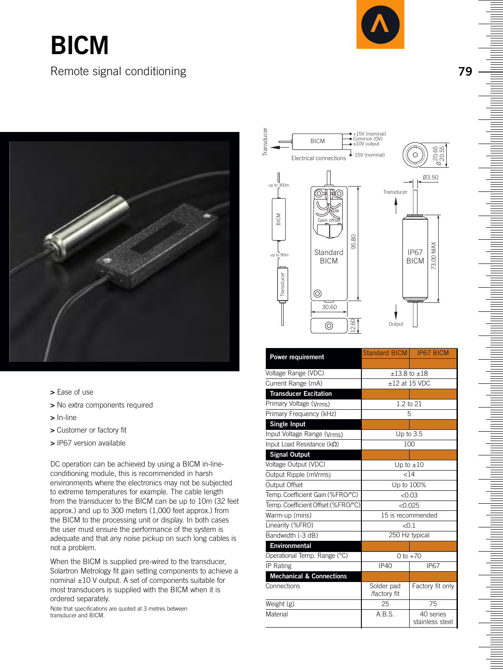### **BICM** Remote signal conditioning



- **>** Ease of use
- **>** No extra components required
- **>** In-line
- **>** Customer or factory fit
- **>** IP67 version available

DC operation can be achieved by using a BICM in-lineconditioning module, this is recommended in harsh environments where the electronics may not be subjected to extreme temperatures for example. The cable length from the transducer to the BICM can be up to 10m (32 feet approx.) and up to 300 meters (1,000 feet approx.) from the BICM to the processing unit or display. In both cases the user must ensure the performance of the system is adequate and that any noise pickup on such long cables is not a problem.

When the BICM is supplied pre-wired to the transducer, Solartron Metrology fit gain setting components to achieve a nominal ±10 V output. A set of components suitable for most transducers is supplied with the BICM when it is ordered separately.

Note that specifications are quoted at 3 metres between transducer and BICM.



|                                     | Standard BICM              | <b>IP67 BICM</b>             |
|-------------------------------------|----------------------------|------------------------------|
| <b>Power requirement</b>            |                            |                              |
| Voltage Range (VDC)                 |                            | $±13.8$ to $±18$             |
| Current Range (mA)                  | $+12$ at 15 VDC            |                              |
| <b>Transducer Excitation</b>        |                            |                              |
| Primary Voltage (Vrms)              |                            | 1.2 to 21                    |
| Primary Frequency (kHz)             |                            | 5                            |
| <b>Single Input</b>                 |                            |                              |
| Input Voltage Range (Vrms)          |                            | Up to $3.5$                  |
| Input Load Resistance ( $k\Omega$ ) |                            | 100                          |
| <b>Signal Output</b>                |                            |                              |
| Voltage Output (VDC)                |                            | Up to $\pm 10$               |
| Output Ripple (mVrms)               |                            | $<$ 14                       |
| Output Offset                       |                            | Up to 100%                   |
| Temp. Coefficient Gain (%FRO/°C)    |                            | < 0.03                       |
| Temp. Coefficient Offset (%FRO/°C)  |                            | $<$ 0.025                    |
| Warm-up (mins)                      |                            | 15 is recommended            |
| Linearity (%FRO)                    | < 0.1                      |                              |
| Bandwidth (-3 dB)                   |                            | 250 Hz typical               |
| Environmental                       |                            |                              |
| Operational Temp. Range (°C)        | 0 to $+70$                 |                              |
| IP Rating                           | <b>IP40</b>                | <b>IP67</b>                  |
| <b>Mechanical &amp; Connections</b> |                            |                              |
| Connections                         | Solder pad<br>/factory fit | Factory fit only             |
| Weight (g)                          | 25                         | 75                           |
| Material                            | A.B.S.                     | 40 series<br>stainless steel |

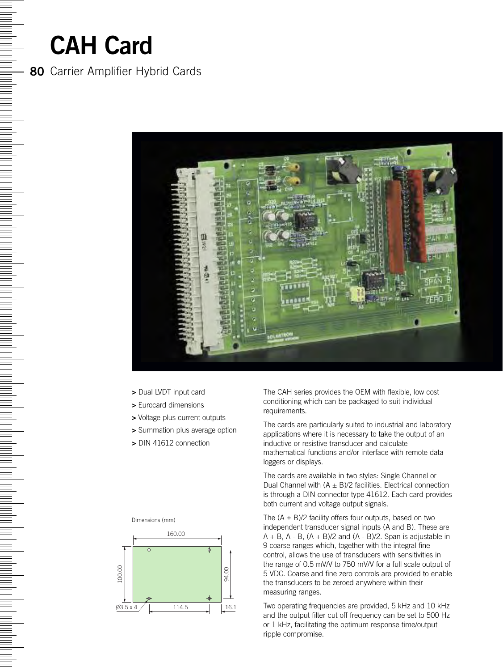### **CAH Card**

<u>N SHIPARA NG KATABatan ng Kabupatèn Karangarang Kabupatèn Karangarang Kabupatèn Karangarang Kabupatèn Karangan</u>

### **80** Carrier Amplifier Hybrid Cards



- **>** Dual LVDT input card
- **>** Eurocard dimensions
- **>** Voltage plus current outputs
- **>** Summation plus average option
- **>** DIN 41612 connection





The CAH series provides the OEM with flexible, low cost conditioning which can be packaged to suit individual requirements.

The cards are particularly suited to industrial and laboratory applications where it is necessary to take the output of an inductive or resistive transducer and calculate mathematical functions and/or interface with remote data loggers or displays.

The cards are available in two styles: Single Channel or Dual Channel with  $(A \pm B)/2$  facilities. Electrical connection is through a DIN connector type 41612. Each card provides both current and voltage output signals.

The  $(A \pm B)/2$  facility offers four outputs, based on two independent transducer signal inputs (A and B). These are  $A + B$ ,  $A - B$ ,  $(A + B)/2$  and  $(A - B)/2$ . Span is adjustable in 9 coarse ranges which, together with the integral fine control, allows the use of transducers with sensitivities in the range of 0.5 mV/V to 750 mV/V for a full scale output of 5 VDC. Coarse and fine zero controls are provided to enable the transducers to be zeroed anywhere within their measuring ranges.

Two operating frequencies are provided, 5 kHz and 10 kHz and the output filter cut off frequency can be set to 500 Hz or 1 kHz, facilitating the optimum response time/output ripple compromise.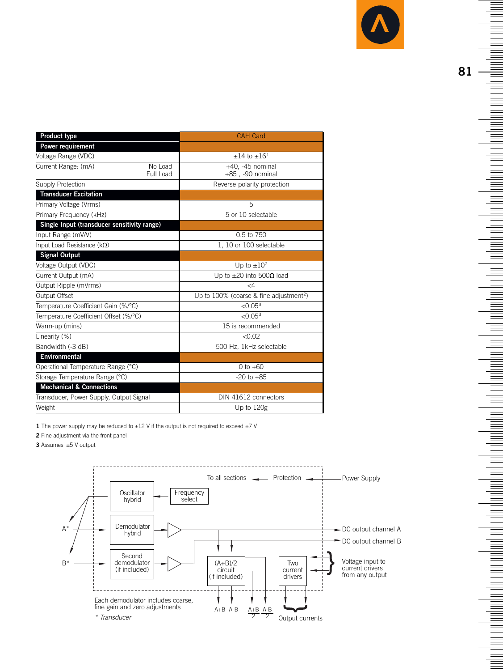

| Product type                                | <b>CAH Card</b>                                     |  |
|---------------------------------------------|-----------------------------------------------------|--|
| Power requirement                           |                                                     |  |
| Voltage Range (VDC)                         | $\pm 14$ to $\pm 16$ <sup>1</sup>                   |  |
| Current Range: (mA)<br>No Load<br>Full Load | $+40$ , $-45$ nominal<br>+85, -90 nominal           |  |
| <b>Supply Protection</b>                    | Reverse polarity protection                         |  |
| <b>Transducer Excitation</b>                |                                                     |  |
| Primary Voltage (Vrms)                      | 5                                                   |  |
| Primary Frequency (kHz)                     | 5 or 10 selectable                                  |  |
| Single Input (transducer sensitivity range) |                                                     |  |
| Input Range (mV/V)                          | 0.5 to 750                                          |  |
| Input Load Resistance ( $k\Omega$ )         | 1, 10 or 100 selectable                             |  |
| <b>Signal Output</b>                        |                                                     |  |
| Voltage Output (VDC)                        | Up to $\pm 10^2$                                    |  |
| Current Output (mA)                         | Up to $\pm 20$ into 500 $\Omega$ load               |  |
| Output Ripple (mVrms)                       | $\leq$ 4                                            |  |
| Output Offset                               | Up to 100% (coarse & fine adjustment <sup>2</sup> ) |  |
| Temperature Coefficient Gain (%/°C)         | < 0.05 <sup>3</sup>                                 |  |
| Temperature Coefficient Offset (%/°C)       | < 0.05 <sup>3</sup>                                 |  |
| Warm-up (mins)                              | 15 is recommended                                   |  |
| Linearity (%)                               | < 0.02                                              |  |
| Bandwidth (-3 dB)                           | 500 Hz, 1kHz selectable                             |  |
| <b>Environmental</b>                        |                                                     |  |
| Operational Temperature Range (°C)          | 0 to $+60$                                          |  |
| Storage Temperature Range (°C)              | $-20$ to $+85$                                      |  |
| <b>Mechanical &amp; Connections</b>         |                                                     |  |
| Transducer, Power Supply, Output Signal     | DIN 41612 connectors                                |  |
| Weight                                      | Up to 120g                                          |  |

**1** The power supply may be reduced to  $\pm 12$  V if the output is not required to exceed  $\pm 7$  V

**2** Fine adjustment via the front panel

**3** Assumes ±5 V output



**THE REAL** 

<u>Form</u>

naharina hariba da kata da da kasar da kasar da kasar da kasar da kasar da kasar da kasar da kasar da kasar da

<u>lantan tanah dia kaominina dia kaominina dia kaominina dia kaominina dia kaominina dia kaominina dia kaominina </u>

<u>Formulation</u>

<u>maniana dia kaominina mpika amin'ny fivondronan-kaominin'i Paris (rohibro dia 1984) ao Frantsa. Ny fisiana ar</u>

n de al antiga de la contrata de la contrata de la contrata de la contrata de la contrata de la contrata de la

a a shekarar 1999 haqida qayta tarixiy qayta tarixiy qayta tarixiy qayta tarixiy qayta tarixiy qayta tarixiy q

**THE REAL** 

Ē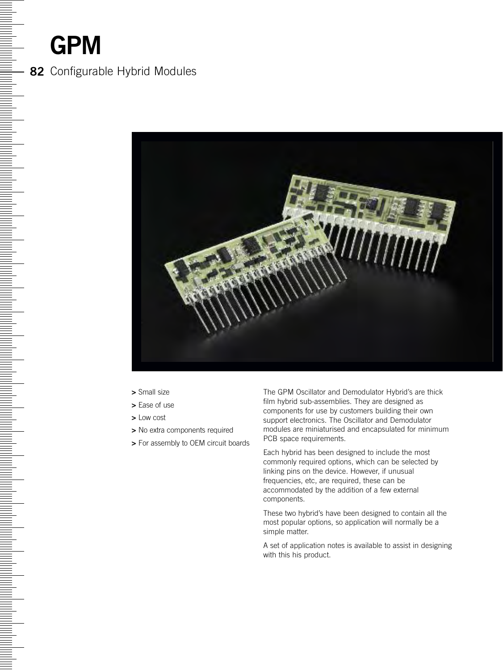### **GPM**

<u> Bahamaran Barat dan Barat dan Barat dan Barat dan Barat dan Barat dan Barat dari Barat da</u>

#### **82** Configurable Hybrid Modules



- **>** Small size
- **>** Ease of use
- **>** Low cost
- **>** No extra components required
- **>** For assembly to OEM circuit boards

The GPM Oscillator and Demodulator Hybrid's are thick film hybrid sub-assemblies. They are designed as components for use by customers building their own support electronics. The Oscillator and Demodulator modules are miniaturised and encapsulated for minimum PCB space requirements.

Each hybrid has been designed to include the most commonly required options, which can be selected by linking pins on the device. However, if unusual frequencies, etc, are required, these can be accommodated by the addition of a few external components.

These two hybrid's have been designed to contain all the most popular options, so application will normally be a simple matter.

A set of application notes is available to assist in designing with this his product.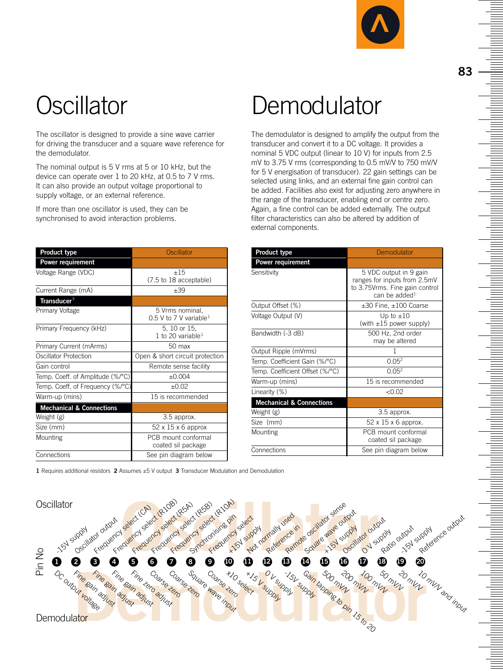

The oscillator is designed to provide a sine wave carrier for driving the transducer and a square wave reference for the demodulator.

The nominal output is 5 V rms at 5 or 10 kHz, but the device can operate over 1 to 20 kHz, at 0.5 to 7 V rms. It can also provide an output voltage proportional to supply voltage, or an external reference.

If more than one oscillator is used, they can be synchronised to avoid interaction problems.

| Product type                        | Oscillator                                            |  |
|-------------------------------------|-------------------------------------------------------|--|
| Power requirement                   |                                                       |  |
| Voltage Range (VDC)                 | ±15<br>(7.5 to 18 acceptable)                         |  |
| Current Range (mA)                  | $+39$                                                 |  |
| Transducer <sup>3</sup>             |                                                       |  |
| Primary Voltage                     | 5 Vrms nominal,<br>0.5 V to 7 V variable <sup>1</sup> |  |
| Primary Frequency (kHz)             | 5, 10 or 15,<br>1 to 20 variable <sup>1</sup>         |  |
| Primary Current (mArms)             | $50$ max                                              |  |
| Oscillator Protection               | Open & short circuit protection                       |  |
| Gain control                        | Remote sense facility                                 |  |
| Temp. Coeff. of Amplitude (%/°C)    | ±0.004                                                |  |
| Temp. Coeff. of Frequency (%/°C)    | $+0.02$                                               |  |
| Warm-up (mins)                      | 15 is recommended                                     |  |
| <b>Mechanical &amp; Connections</b> |                                                       |  |
| Weight (g)                          | 3.5 approx.                                           |  |
| Size (mm)                           | 52 x 15 x 6 approx                                    |  |
| Mounting                            | PCB mount conformal<br>coated sil package             |  |
| Connections                         | See pin diagram below                                 |  |

Oscillator Demodulator

The demodulator is designed to amplify the output from the transducer and convert it to a DC voltage. It provides a nominal 5 VDC output (linear to 10 V) for inputs from 2.5 mV to 3.75 V rms (corresponding to 0.5 mV/V to 750 mV/V for 5 V energisation of transducer). 22 gain settings can be selected using links, and an external fine gain control can be added. Facilities also exist for adjusting zero anywhere in the range of the transducer, enabling end or centre zero. Again, a fine control can be added externally. The output filter characteristics can also be altered by addition of external components.

| <b>Product type</b>                 | Demodulator                                                                                                   |
|-------------------------------------|---------------------------------------------------------------------------------------------------------------|
| Power requirement                   |                                                                                                               |
| Sensitivity                         | 5 VDC output in 9 gain<br>ranges for inputs from 2.5mV<br>to 3.75 Vrms. Fine gain control<br>can be added $1$ |
| Output Offset (%)                   | $\pm 30$ Fine, $\pm 100$ Coarse                                                                               |
| Voltage Output (V)                  | Up to $\pm 10$<br>(with $\pm 15$ power supply)                                                                |
| Bandwidth (-3 dB)                   | 500 Hz, 2nd order<br>may be altered                                                                           |
| Output Ripple (mVrms)               |                                                                                                               |
| Temp. Coefficient Gain (%/°C)       | 0.05 <sup>2</sup>                                                                                             |
| Temp. Coefficient Offset (%/°C)     | 0.05 <sup>2</sup>                                                                                             |
| Warm-up (mins)                      | 15 is recommended                                                                                             |
| Linearity (%)                       | < 0.02                                                                                                        |
| <b>Mechanical &amp; Connections</b> |                                                                                                               |
| Weight (g)                          | 3.5 approx.                                                                                                   |
| Size (mm)                           | 52 x 15 x 6 approx.                                                                                           |
| Mounting                            | PCB mount conformal<br>coated sil package                                                                     |
| Connections                         | See pin diagram below                                                                                         |

**1** Requires additional resistors **2** Assumes ±5 V output **3** Transducer Modulation and Demodulation

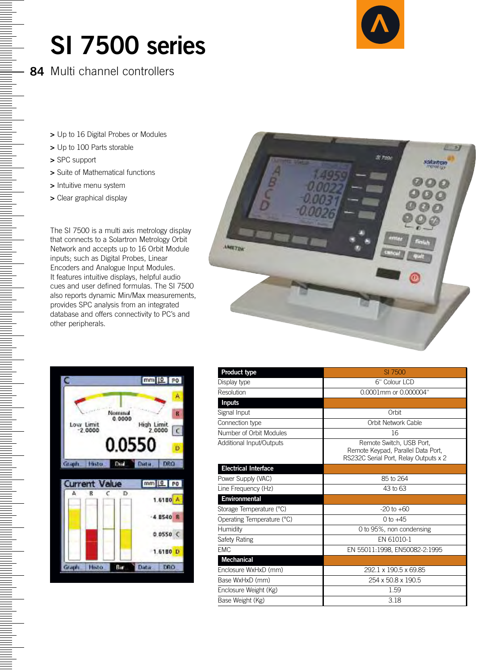### **SI 7500 series**

**84** Multi channel controllers

- **>** Up to 16 Digital Probes or Modules
- **>** Up to 100 Parts storable
- **>** SPC support

<u>Normalized</u>

- **>** Suite of Mathematical functions
- **>** Intuitive menu system
- **>** Clear graphical display

The SI 7500 is a multi axis metrology display that connects to a Solartron Metrology Orbit Network and accepts up to 16 Orbit Module inputs; such as Digital Probes, Linear Encoders and Analogue Input Modules. It features intuitive displays, helpful audio cues and user defined formulas. The SI 7500 also reports dynamic Min/Max measurements, provides SPC analysis from an integrated database and offers connectivity to PC's and other peripherals.





| Product type                | SI 7500                                                                                                 |
|-----------------------------|---------------------------------------------------------------------------------------------------------|
| Display type                | 6" Colour LCD                                                                                           |
| Resolution                  | 0.0001mm or 0.000004"                                                                                   |
| <b>Inputs</b>               |                                                                                                         |
| Signal Input                | Orbit                                                                                                   |
| Connection type             | Orbit Network Cable                                                                                     |
| Number of Orbit Modules     | 16                                                                                                      |
| Additional Input/Outputs    | Remote Switch, USB Port.<br>Remote Keypad, Parallel Data Port,<br>RS232C Serial Port. Relay Outputs x 2 |
| <b>Electrical Interface</b> |                                                                                                         |
| Power Supply (VAC)          | 85 to 264                                                                                               |
| Line Frequency (Hz)         | 43 to 63                                                                                                |
| Environmental               |                                                                                                         |
| Storage Temperature (°C)    | $-20$ to $+60$                                                                                          |
| Operating Temperature (°C)  | $0$ to $+45$                                                                                            |
| Humidity                    | 0 to 95%, non condensing                                                                                |
| Safety Rating               | EN 61010-1                                                                                              |
| <b>EMC</b>                  | EN 55011:1998, EN50082-2:1995                                                                           |
| <b>Mechanical</b>           |                                                                                                         |
| Enclosure WxHxD (mm)        | 292.1 x 190.5 x 69.85                                                                                   |
| Base WxHxD (mm)             | 254 x 50.8 x 190.5                                                                                      |
| Enclosure Weight (Kg)       | 1.59                                                                                                    |
| Base Weight (Kg)            | 3.18                                                                                                    |